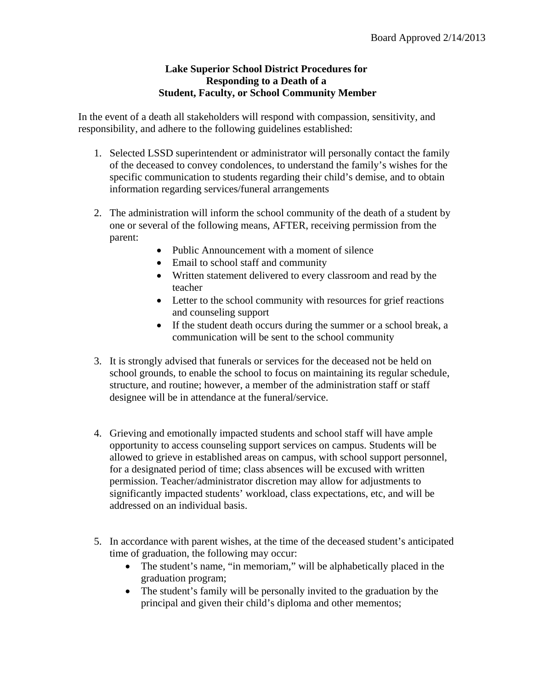## **Lake Superior School District Procedures for Responding to a Death of a Student, Faculty, or School Community Member**

In the event of a death all stakeholders will respond with compassion, sensitivity, and responsibility, and adhere to the following guidelines established:

- 1. Selected LSSD superintendent or administrator will personally contact the family of the deceased to convey condolences, to understand the family's wishes for the specific communication to students regarding their child's demise, and to obtain information regarding services/funeral arrangements
- 2. The administration will inform the school community of the death of a student by one or several of the following means, AFTER, receiving permission from the parent:
	- Public Announcement with a moment of silence
	- Email to school staff and community
	- Written statement delivered to every classroom and read by the teacher
	- Letter to the school community with resources for grief reactions and counseling support
	- If the student death occurs during the summer or a school break, a communication will be sent to the school community
- 3. It is strongly advised that funerals or services for the deceased not be held on school grounds, to enable the school to focus on maintaining its regular schedule, structure, and routine; however, a member of the administration staff or staff designee will be in attendance at the funeral/service.
- 4. Grieving and emotionally impacted students and school staff will have ample opportunity to access counseling support services on campus. Students will be allowed to grieve in established areas on campus, with school support personnel, for a designated period of time; class absences will be excused with written permission. Teacher/administrator discretion may allow for adjustments to significantly impacted students' workload, class expectations, etc, and will be addressed on an individual basis.
- 5. In accordance with parent wishes, at the time of the deceased student's anticipated time of graduation, the following may occur:
	- The student's name, "in memoriam," will be alphabetically placed in the graduation program;
	- The student's family will be personally invited to the graduation by the principal and given their child's diploma and other mementos;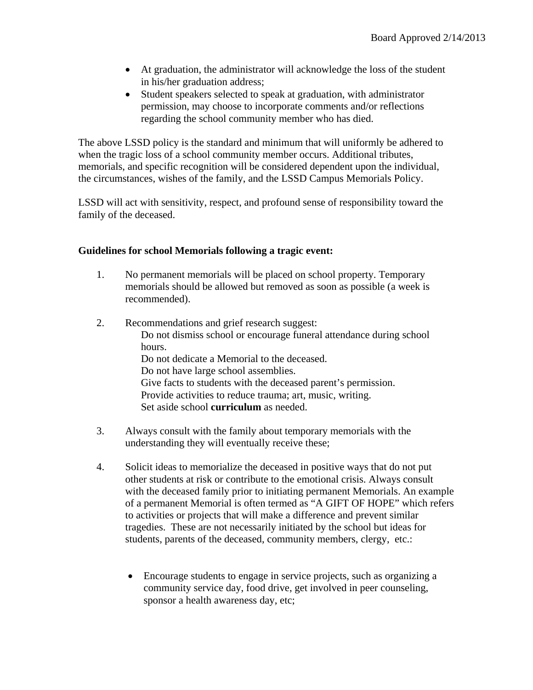- At graduation, the administrator will acknowledge the loss of the student in his/her graduation address;
- Student speakers selected to speak at graduation, with administrator permission, may choose to incorporate comments and/or reflections regarding the school community member who has died.

The above LSSD policy is the standard and minimum that will uniformly be adhered to when the tragic loss of a school community member occurs. Additional tributes, memorials, and specific recognition will be considered dependent upon the individual, the circumstances, wishes of the family, and the LSSD Campus Memorials Policy.

LSSD will act with sensitivity, respect, and profound sense of responsibility toward the family of the deceased.

## **Guidelines for school Memorials following a tragic event:**

- 1. No permanent memorials will be placed on school property. Temporary memorials should be allowed but removed as soon as possible (a week is recommended).
- 2. Recommendations and grief research suggest: Do not dismiss school or encourage funeral attendance during school hours. Do not dedicate a Memorial to the deceased. Do not have large school assemblies. Give facts to students with the deceased parent's permission. Provide activities to reduce trauma; art, music, writing. Set aside school **curriculum** as needed.
- 3. Always consult with the family about temporary memorials with the understanding they will eventually receive these;
- 4. Solicit ideas to memorialize the deceased in positive ways that do not put other students at risk or contribute to the emotional crisis. Always consult with the deceased family prior to initiating permanent Memorials. An example of a permanent Memorial is often termed as "A GIFT OF HOPE" which refers to activities or projects that will make a difference and prevent similar tragedies. These are not necessarily initiated by the school but ideas for students, parents of the deceased, community members, clergy, etc.:
	- Encourage students to engage in service projects, such as organizing a community service day, food drive, get involved in peer counseling, sponsor a health awareness day, etc;